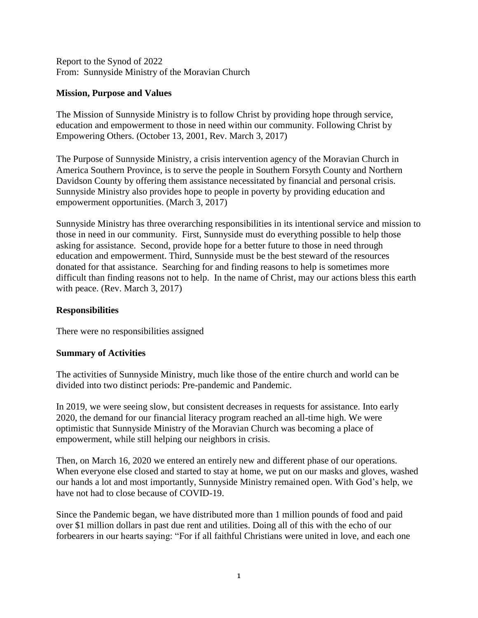Report to the Synod of 2022 From: Sunnyside Ministry of the Moravian Church

## **Mission, Purpose and Values**

The Mission of Sunnyside Ministry is to follow Christ by providing hope through service, education and empowerment to those in need within our community. Following Christ by Empowering Others. (October 13, 2001, Rev. March 3, 2017)

The Purpose of Sunnyside Ministry, a crisis intervention agency of the Moravian Church in America Southern Province, is to serve the people in Southern Forsyth County and Northern Davidson County by offering them assistance necessitated by financial and personal crisis. Sunnyside Ministry also provides hope to people in poverty by providing education and empowerment opportunities. (March 3, 2017)

Sunnyside Ministry has three overarching responsibilities in its intentional service and mission to those in need in our community. First, Sunnyside must do everything possible to help those asking for assistance. Second, provide hope for a better future to those in need through education and empowerment. Third, Sunnyside must be the best steward of the resources donated for that assistance. Searching for and finding reasons to help is sometimes more difficult than finding reasons not to help. In the name of Christ, may our actions bless this earth with peace. (Rev. March 3, 2017)

## **Responsibilities**

There were no responsibilities assigned

## **Summary of Activities**

The activities of Sunnyside Ministry, much like those of the entire church and world can be divided into two distinct periods: Pre-pandemic and Pandemic.

In 2019, we were seeing slow, but consistent decreases in requests for assistance. Into early 2020, the demand for our financial literacy program reached an all-time high. We were optimistic that Sunnyside Ministry of the Moravian Church was becoming a place of empowerment, while still helping our neighbors in crisis.

Then, on March 16, 2020 we entered an entirely new and different phase of our operations. When everyone else closed and started to stay at home, we put on our masks and gloves, washed our hands a lot and most importantly, Sunnyside Ministry remained open. With God's help, we have not had to close because of COVID-19.

Since the Pandemic began, we have distributed more than 1 million pounds of food and paid over \$1 million dollars in past due rent and utilities. Doing all of this with the echo of our forbearers in our hearts saying: "For if all faithful Christians were united in love, and each one